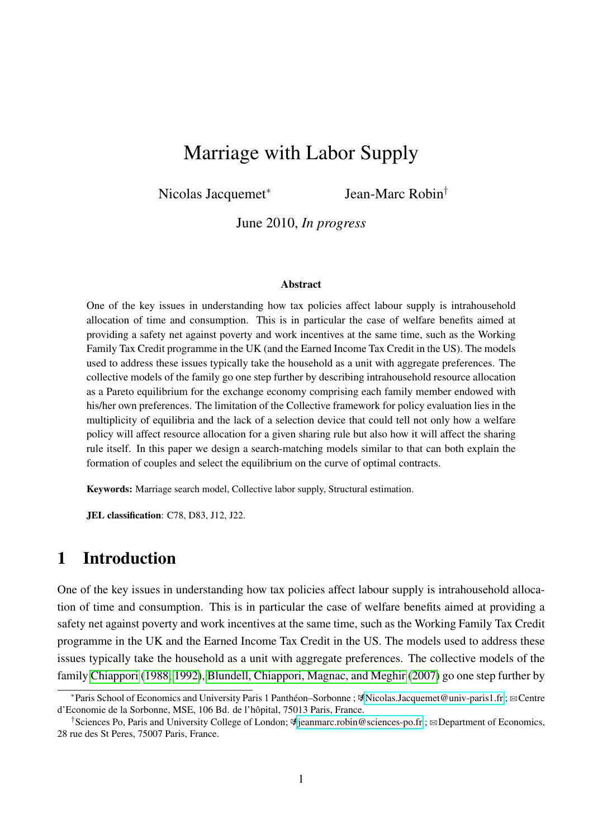# Marriage with Labor Supply

Nicolas Jacquemet<sup>∗</sup>

Jean-Marc Robin†

June 2010, *In progress*

#### Abstract

One of the key issues in understanding how tax policies affect labour supply is intrahousehold allocation of time and consumption. This is in particular the case of welfare benefits aimed at providing a safety net against poverty and work incentives at the same time, such as the Working Family Tax Credit programme in the UK (and the Earned Income Tax Credit in the US). The models used to address these issues typically take the household as a unit with aggregate preferences. The collective models of the family go one step further by describing intrahousehold resource allocation as a Pareto equilibrium for the exchange economy comprising each family member endowed with his/her own preferences. The limitation of the Collective framework for policy evaluation lies in the multiplicity of equilibria and the lack of a selection device that could tell not only how a welfare policy will affect resource allocation for a given sharing rule but also how it will affect the sharing rule itself. In this paper we design a search-matching models similar to that can both explain the formation of couples and select the equilibrium on the curve of optimal contracts.

Keywords: Marriage search model, Collective labor supply, Structural estimation.

JEL classification: C78, D83, J12, J22.

## 1 Introduction

One of the key issues in understanding how tax policies affect labour supply is intrahousehold allocation of time and consumption. This is in particular the case of welfare benefits aimed at providing a safety net against poverty and work incentives at the same time, such as the Working Family Tax Credit programme in the UK and the Earned Income Tax Credit in the US. The models used to address these issues typically take the household as a unit with aggregate preferences. The collective models of the family [Chiappori](#page-25-0) [\(1988,](#page-25-0) [1992\)](#page-25-1), [Blundell, Chiappori, Magnac, and Meghir](#page-25-2) [\(2007\)](#page-25-2) go one step further by

<sup>∗</sup>Paris School of Economics and University Paris 1 Panthéon–Sorbonne ; k[Nicolas.Jacquemet@univ-paris1.fr](mailto:Nicolas.Jacquemet@univ-paris1.fr) ; BCentre d'Economie de la Sorbonne, MSE, 106 Bd. de l'hôpital, 75013 Paris, France.

<sup>&</sup>lt;sup>†</sup>Sciences Po, Paris and University College of London;  $\Phi$ [jeanmarc.robin@sciences-po.fr](mailto:Jean-Marc.Robin@univ-paris1.fr) ;  $\Phi$ Department of Economics, 28 rue des St Peres, 75007 Paris, France.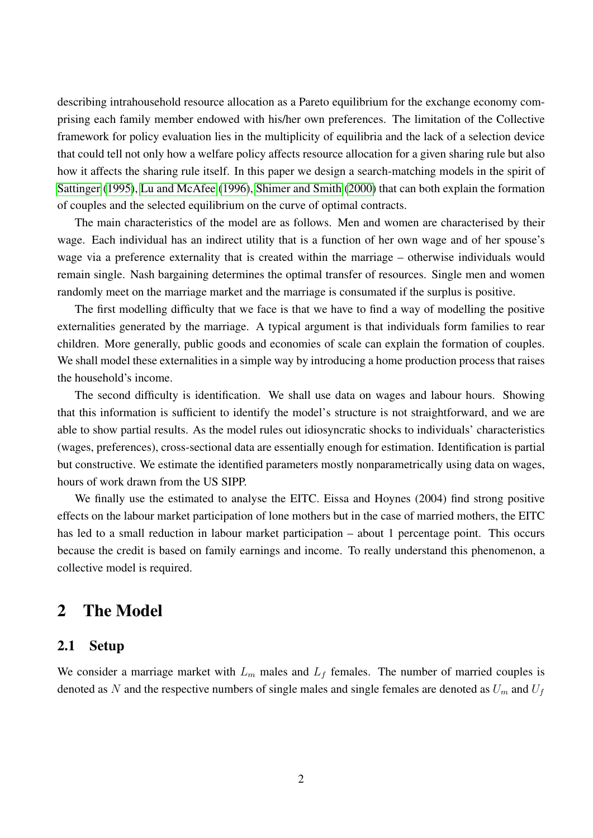describing intrahousehold resource allocation as a Pareto equilibrium for the exchange economy comprising each family member endowed with his/her own preferences. The limitation of the Collective framework for policy evaluation lies in the multiplicity of equilibria and the lack of a selection device that could tell not only how a welfare policy affects resource allocation for a given sharing rule but also how it affects the sharing rule itself. In this paper we design a search-matching models in the spirit of [Sattinger](#page-27-0) [\(1995\)](#page-27-0), [Lu and McAfee](#page-27-1) [\(1996\)](#page-27-1), [Shimer and Smith](#page-27-2) [\(2000\)](#page-27-2) that can both explain the formation of couples and the selected equilibrium on the curve of optimal contracts.

The main characteristics of the model are as follows. Men and women are characterised by their wage. Each individual has an indirect utility that is a function of her own wage and of her spouse's wage via a preference externality that is created within the marriage – otherwise individuals would remain single. Nash bargaining determines the optimal transfer of resources. Single men and women randomly meet on the marriage market and the marriage is consumated if the surplus is positive.

The first modelling difficulty that we face is that we have to find a way of modelling the positive externalities generated by the marriage. A typical argument is that individuals form families to rear children. More generally, public goods and economies of scale can explain the formation of couples. We shall model these externalities in a simple way by introducing a home production process that raises the household's income.

The second difficulty is identification. We shall use data on wages and labour hours. Showing that this information is sufficient to identify the model's structure is not straightforward, and we are able to show partial results. As the model rules out idiosyncratic shocks to individuals' characteristics (wages, preferences), cross-sectional data are essentially enough for estimation. Identification is partial but constructive. We estimate the identified parameters mostly nonparametrically using data on wages, hours of work drawn from the US SIPP.

We finally use the estimated to analyse the EITC. Eissa and Hoynes (2004) find strong positive effects on the labour market participation of lone mothers but in the case of married mothers, the EITC has led to a small reduction in labour market participation – about 1 percentage point. This occurs because the credit is based on family earnings and income. To really understand this phenomenon, a collective model is required.

## 2 The Model

#### 2.1 Setup

We consider a marriage market with  $L_m$  males and  $L_f$  females. The number of married couples is denoted as N and the respective numbers of single males and single females are denoted as  $U_m$  and  $U_f$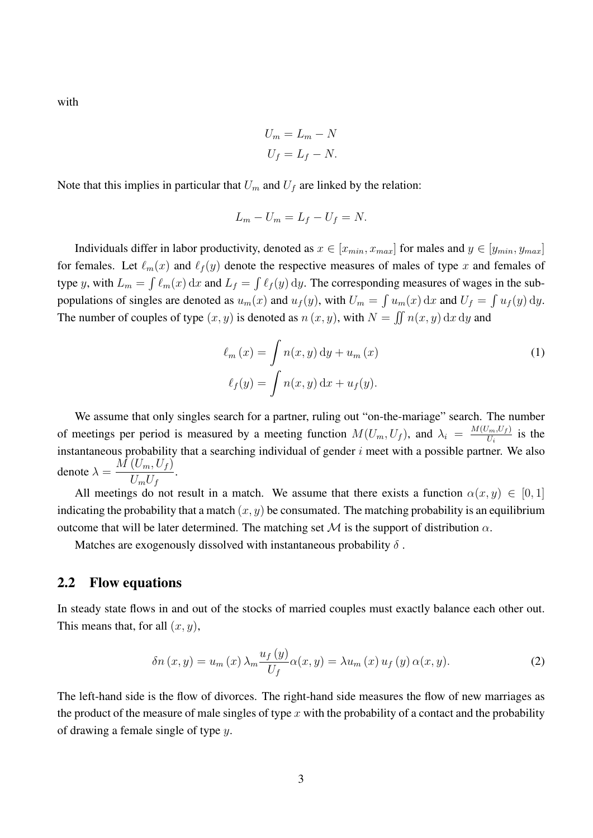with

$$
U_m = L_m - N
$$

$$
U_f = L_f - N.
$$

Note that this implies in particular that  $U_m$  and  $U_f$  are linked by the relation:

$$
L_m - U_m = L_f - U_f = N.
$$

Individuals differ in labor productivity, denoted as  $x \in [x_{min}, x_{max}]$  for males and  $y \in [y_{min}, y_{max}]$ for females. Let  $\ell_m(x)$  and  $\ell_f(y)$  denote the respective measures of males of type x and females of type y, with  $L_m = \int \ell_m(x) dx$  and  $L_f = \int \ell_f(y) dy$ . The corresponding measures of wages in the subpopulations of singles are denoted as  $u_m(x)$  and  $u_f(y)$ , with  $U_m = \int u_m(x) dx$  and  $U_f = \int u_f(y) dy$ . The number of couples of type  $(x, y)$  is denoted as  $n(x, y)$ , with  $N = \iint n(x, y) dx dy$  and

<span id="page-2-0"></span>
$$
\ell_m(x) = \int n(x, y) dy + u_m(x)
$$
  

$$
\ell_f(y) = \int n(x, y) dx + u_f(y).
$$
 (1)

We assume that only singles search for a partner, ruling out "on-the-mariage" search. The number of meetings per period is measured by a meeting function  $M(U_m, U_f)$ , and  $\lambda_i = \frac{M(U_m, U_f)}{U_i}$  $\frac{U_m, U_f)}{U_i}$  is the instantaneous probability that a searching individual of gender  $i$  meet with a possible partner. We also denote  $\lambda = \frac{M(U_m, U_f)}{U}$  $\frac{(v_m, v_f)}{U_m U_f}$ .

All meetings do not result in a match. We assume that there exists a function  $\alpha(x, y) \in [0, 1]$ indicating the probability that a match  $(x, y)$  be consumated. The matching probability is an equilibrium outcome that will be later determined. The matching set  $\mathcal M$  is the support of distribution  $\alpha$ .

Matches are exogenously dissolved with instantaneous probability  $\delta$ .

#### 2.2 Flow equations

In steady state flows in and out of the stocks of married couples must exactly balance each other out. This means that, for all  $(x, y)$ ,

<span id="page-2-1"></span>
$$
\delta n(x, y) = u_m(x) \lambda_m \frac{u_f(y)}{U_f} \alpha(x, y) = \lambda u_m(x) u_f(y) \alpha(x, y). \tag{2}
$$

The left-hand side is the flow of divorces. The right-hand side measures the flow of new marriages as the product of the measure of male singles of type x with the probability of a contact and the probability of drawing a female single of type  $y$ .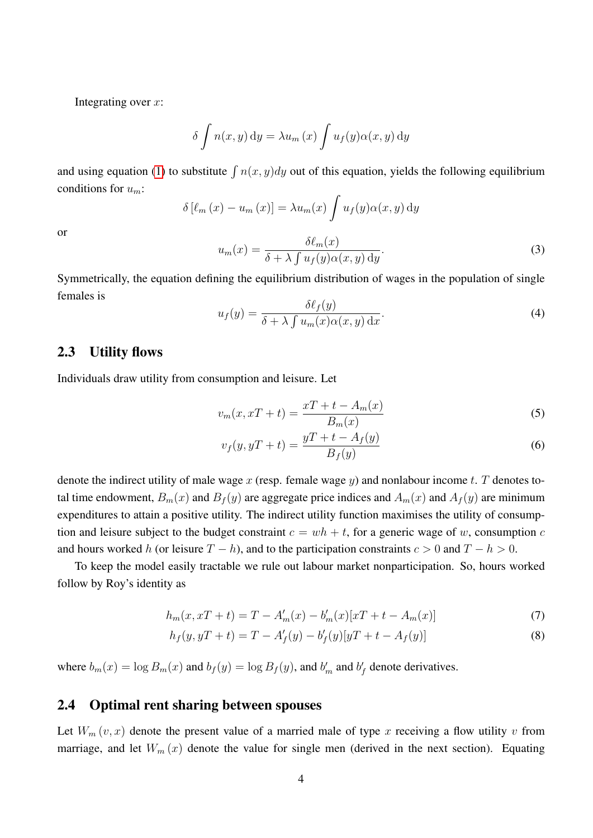Integrating over  $x$ :

$$
\delta \int n(x, y) dy = \lambda u_m(x) \int u_f(y) \alpha(x, y) dy
$$

and using equation [\(1\)](#page-2-0) to substitute  $\int n(x, y)dy$  out of this equation, yields the following equilibrium conditions for  $u_m$ :

$$
\delta\left[\ell_m(x) - u_m(x)\right] = \lambda u_m(x) \int u_f(y) \alpha(x, y) \, dy
$$

or

$$
u_m(x) = \frac{\delta \ell_m(x)}{\delta + \lambda \int u_f(y) \alpha(x, y) dy}.
$$
\n(3)

Symmetrically, the equation defining the equilibrium distribution of wages in the population of single females is

$$
u_f(y) = \frac{\delta \ell_f(y)}{\delta + \lambda \int u_m(x) \alpha(x, y) \, dx}.\tag{4}
$$

### 2.3 Utility flows

Individuals draw utility from consumption and leisure. Let

$$
v_m(x, xT + t) = \frac{xT + t - A_m(x)}{B_m(x)}
$$
\n<sup>(5)</sup>

<span id="page-3-0"></span>
$$
v_f(y, yT + t) = \frac{yT + t - A_f(y)}{B_f(y)}
$$
\n
$$
(6)
$$

denote the indirect utility of male wage x (resp. female wage y) and nonlabour income t. T denotes total time endowment,  $B_m(x)$  and  $B_f(y)$  are aggregate price indices and  $A_m(x)$  and  $A_f(y)$  are minimum expenditures to attain a positive utility. The indirect utility function maximises the utility of consumption and leisure subject to the budget constraint  $c = wh + t$ , for a generic wage of w, consumption c and hours worked h (or leisure  $T - h$ ), and to the participation constraints  $c > 0$  and  $T - h > 0$ .

To keep the model easily tractable we rule out labour market nonparticipation. So, hours worked follow by Roy's identity as

$$
h_m(x, xT + t) = T - A'_m(x) - b'_m(x)[xT + t - A_m(x)]
$$
\n(7)

<span id="page-3-1"></span>
$$
h_f(y, yT + t) = T - A'_f(y) - b'_f(y)[yT + t - A_f(y)]
$$
\n(8)

where  $b_m(x) = \log B_m(x)$  and  $b_f(y) = \log B_f(y)$ , and  $b'_m$  and  $b'_f$  denote derivatives.

### 2.4 Optimal rent sharing between spouses

Let  $W_m(v, x)$  denote the present value of a married male of type x receiving a flow utility v from marriage, and let  $W_m(x)$  denote the value for single men (derived in the next section). Equating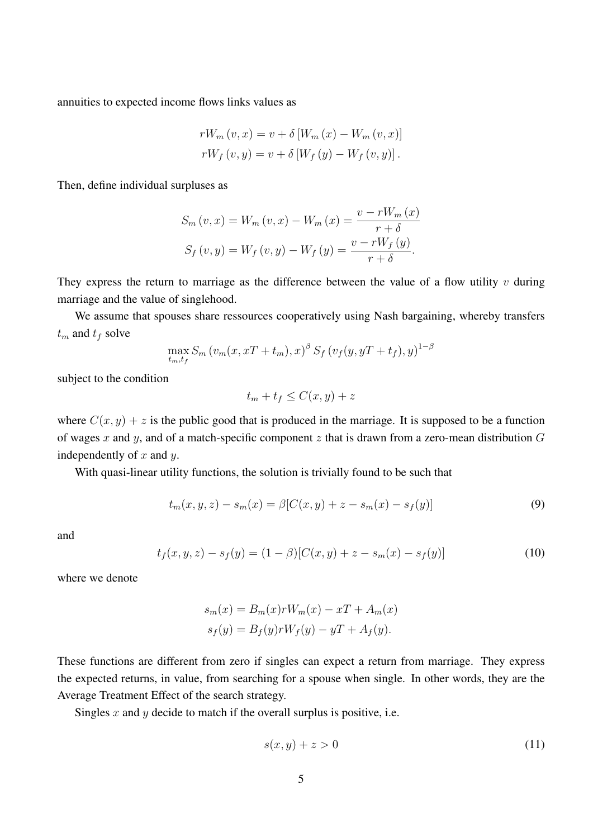annuities to expected income flows links values as

$$
rW_m(v, x) = v + \delta[W_m(x) - W_m(v, x)]
$$
  

$$
rW_f(v, y) = v + \delta[W_f(y) - W_f(v, y)].
$$

Then, define individual surpluses as

$$
S_{m}(v, x) = W_{m}(v, x) - W_{m}(x) = \frac{v - rW_{m}(x)}{r + \delta}
$$

$$
S_{f}(v, y) = W_{f}(v, y) - W_{f}(y) = \frac{v - rW_{f}(y)}{r + \delta}.
$$

They express the return to marriage as the difference between the value of a flow utility  $v$  during marriage and the value of singlehood.

We assume that spouses share ressources cooperatively using Nash bargaining, whereby transfers  $t_m$  and  $t_f$  solve

$$
\max_{t_m, t_f} S_m (v_m(x, xT + t_m), x)^{\beta} S_f (v_f(y, yT + t_f), y)^{1-\beta}
$$

subject to the condition

$$
t_m + t_f \le C(x, y) + z
$$

where  $C(x, y) + z$  is the public good that is produced in the marriage. It is supposed to be a function of wages x and y, and of a match-specific component z that is drawn from a zero-mean distribution  $G$ independently of  $x$  and  $y$ .

With quasi-linear utility functions, the solution is trivially found to be such that

$$
t_m(x, y, z) - s_m(x) = \beta [C(x, y) + z - s_m(x) - s_f(y)] \tag{9}
$$

and

$$
t_f(x, y, z) - s_f(y) = (1 - \beta)[C(x, y) + z - s_m(x) - s_f(y)] \tag{10}
$$

where we denote

$$
s_m(x) = B_m(x)rW_m(x) - xT + A_m(x)
$$
  

$$
s_f(y) = B_f(y)rW_f(y) - yT + A_f(y).
$$

These functions are different from zero if singles can expect a return from marriage. They express the expected returns, in value, from searching for a spouse when single. In other words, they are the Average Treatment Effect of the search strategy.

Singles x and y decide to match if the overall surplus is positive, i.e.

$$
s(x, y) + z > 0 \tag{11}
$$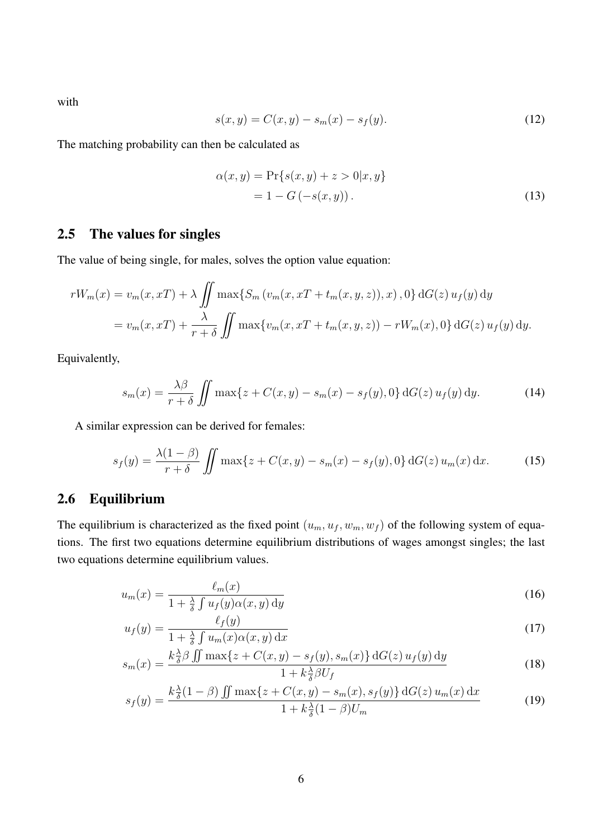with

$$
s(x, y) = C(x, y) - s_m(x) - s_f(y). \tag{12}
$$

The matching probability can then be calculated as

<span id="page-5-2"></span>
$$
\alpha(x, y) = \Pr\{s(x, y) + z > 0 | x, y\}
$$
  
= 1 - G(-s(x, y)). (13)

### 2.5 The values for singles

The value of being single, for males, solves the option value equation:

$$
rW_m(x) = v_m(x, xT) + \lambda \iint \max\{S_m(v_m(x, xT + t_m(x, y, z)), x), 0\} dG(z) u_f(y) dy
$$
  
=  $v_m(x, xT) + \frac{\lambda}{r + \delta} \iint \max\{v_m(x, xT + t_m(x, y, z)) - rW_m(x), 0\} dG(z) u_f(y) dy.$ 

Equivalently,

<span id="page-5-3"></span>
$$
s_m(x) = \frac{\lambda \beta}{r + \delta} \iint \max\{z + C(x, y) - s_m(x) - s_f(y), 0\} dG(z) u_f(y) dy.
$$
 (14)

A similar expression can be derived for females:

$$
s_f(y) = \frac{\lambda(1-\beta)}{r+\delta} \iint \max\{z + C(x,y) - s_m(x) - s_f(y), 0\} \, dG(z) \, u_m(x) \, dx. \tag{15}
$$

## 2.6 Equilibrium

The equilibrium is characterized as the fixed point  $(u_m, u_f, w_m, w_f)$  of the following system of equations. The first two equations determine equilibrium distributions of wages amongst singles; the last two equations determine equilibrium values.

<span id="page-5-4"></span>
$$
u_m(x) = \frac{\ell_m(x)}{1 + \frac{\lambda}{\delta} \int u_f(y)\alpha(x, y) \, dy}
$$
\n(16)

$$
u_f(y) = \frac{\ell_f(y)}{1 + \frac{\lambda}{\delta} \int u_m(x) \alpha(x, y) dx}
$$
 (17)

$$
s_m(x) = \frac{k \frac{\lambda}{\delta} \beta \iint \max\{z + C(x, y) - s_f(y), s_m(x)\} \, \mathrm{d}G(z) \, u_f(y) \, \mathrm{d}y}{1 + k \frac{\lambda}{\delta} \beta U_f} \tag{18}
$$

<span id="page-5-1"></span><span id="page-5-0"></span>
$$
s_f(y) = \frac{k\frac{\lambda}{\delta}(1-\beta)\iint \max\{z + C(x,y) - s_m(x), s_f(y)\} \,dG(z) \,u_m(x) \,dx}{1 + k\frac{\lambda}{\delta}(1-\beta)U_m} \tag{19}
$$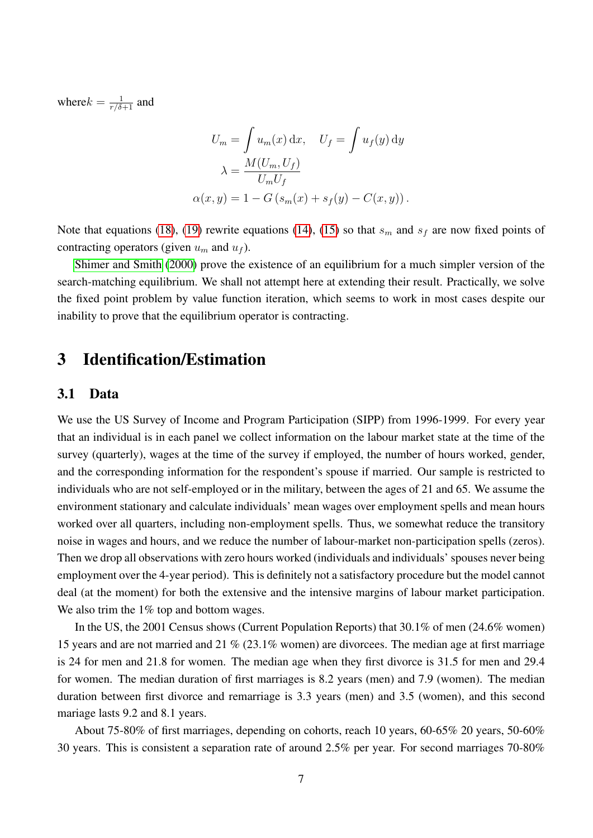where  $k = \frac{1}{r/\delta+1}$  and

$$
U_m = \int u_m(x) dx, \quad U_f = \int u_f(y) dy
$$

$$
\lambda = \frac{M(U_m, U_f)}{U_m U_f}
$$

$$
\alpha(x, y) = 1 - G\left(s_m(x) + s_f(y) - C(x, y)\right).
$$

Note that equations [\(18\)](#page-5-0), [\(19\)](#page-5-1) rewrite equations [\(14\)](#page-5-2), [\(15\)](#page-5-3) so that  $s_m$  and  $s_f$  are now fixed points of contracting operators (given  $u_m$  and  $u_f$ ).

[Shimer and Smith](#page-27-2) [\(2000\)](#page-27-2) prove the existence of an equilibrium for a much simpler version of the search-matching equilibrium. We shall not attempt here at extending their result. Practically, we solve the fixed point problem by value function iteration, which seems to work in most cases despite our inability to prove that the equilibrium operator is contracting.

## 3 Identification/Estimation

### 3.1 Data

We use the US Survey of Income and Program Participation (SIPP) from 1996-1999. For every year that an individual is in each panel we collect information on the labour market state at the time of the survey (quarterly), wages at the time of the survey if employed, the number of hours worked, gender, and the corresponding information for the respondent's spouse if married. Our sample is restricted to individuals who are not self-employed or in the military, between the ages of 21 and 65. We assume the environment stationary and calculate individuals' mean wages over employment spells and mean hours worked over all quarters, including non-employment spells. Thus, we somewhat reduce the transitory noise in wages and hours, and we reduce the number of labour-market non-participation spells (zeros). Then we drop all observations with zero hours worked (individuals and individuals' spouses never being employment over the 4-year period). This is definitely not a satisfactory procedure but the model cannot deal (at the moment) for both the extensive and the intensive margins of labour market participation. We also trim the 1% top and bottom wages.

In the US, the 2001 Census shows (Current Population Reports) that 30.1% of men (24.6% women) 15 years and are not married and 21 % (23.1% women) are divorcees. The median age at first marriage is 24 for men and 21.8 for women. The median age when they first divorce is 31.5 for men and 29.4 for women. The median duration of first marriages is 8.2 years (men) and 7.9 (women). The median duration between first divorce and remarriage is 3.3 years (men) and 3.5 (women), and this second mariage lasts 9.2 and 8.1 years.

About 75-80% of first marriages, depending on cohorts, reach 10 years, 60-65% 20 years, 50-60% 30 years. This is consistent a separation rate of around 2.5% per year. For second marriages 70-80%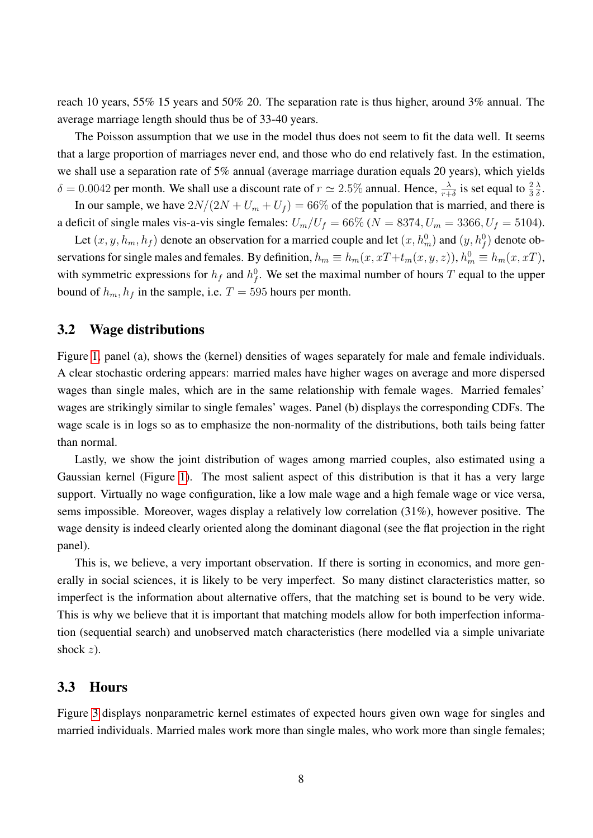reach 10 years, 55% 15 years and 50% 20. The separation rate is thus higher, around 3% annual. The average marriage length should thus be of 33-40 years.

The Poisson assumption that we use in the model thus does not seem to fit the data well. It seems that a large proportion of marriages never end, and those who do end relatively fast. In the estimation, we shall use a separation rate of 5% annual (average marriage duration equals 20 years), which yields  $\delta = 0.0042$  per month. We shall use a discount rate of  $r \simeq 2.5\%$  annual. Hence,  $\frac{\lambda}{r+\delta}$  is set equal to  $\frac{2}{3}$ λ  $\frac{\lambda}{\delta}$ .

In our sample, we have  $2N/(2N + U_m + U_f) = 66\%$  of the population that is married, and there is a deficit of single males vis-a-vis single females:  $U_m/U_f = 66\%$  ( $N = 8374$ ,  $U_m = 3366$ ,  $U_f = 5104$ ).

Let  $(x, y, h_m, h_f)$  denote an observation for a married couple and let  $(x, h_m^0)$  and  $(y, h_f^0)$  denote observations for single males and females. By definition,  $h_m \equiv h_m(x, xT+t_m(x, y, z))$ ,  $h_m^0 \equiv h_m(x, xT)$ , with symmetric expressions for  $h_f$  and  $h_f^0$ . We set the maximal number of hours T equal to the upper bound of  $h_m$ ,  $h_f$  in the sample, i.e.  $T = 595$  hours per month.

#### 3.2 Wage distributions

Figure [1,](#page-8-0) panel (a), shows the (kernel) densities of wages separately for male and female individuals. A clear stochastic ordering appears: married males have higher wages on average and more dispersed wages than single males, which are in the same relationship with female wages. Married females' wages are strikingly similar to single females' wages. Panel (b) displays the corresponding CDFs. The wage scale is in logs so as to emphasize the non-normality of the distributions, both tails being fatter than normal.

Lastly, we show the joint distribution of wages among married couples, also estimated using a Gaussian kernel (Figure [1\)](#page-8-0). The most salient aspect of this distribution is that it has a very large support. Virtually no wage configuration, like a low male wage and a high female wage or vice versa, sems impossible. Moreover, wages display a relatively low correlation (31%), however positive. The wage density is indeed clearly oriented along the dominant diagonal (see the flat projection in the right panel).

This is, we believe, a very important observation. If there is sorting in economics, and more generally in social sciences, it is likely to be very imperfect. So many distinct claracteristics matter, so imperfect is the information about alternative offers, that the matching set is bound to be very wide. This is why we believe that it is important that matching models allow for both imperfection information (sequential search) and unobserved match characteristics (here modelled via a simple univariate shock  $z$ ).

#### 3.3 Hours

Figure [3](#page-10-0) displays nonparametric kernel estimates of expected hours given own wage for singles and married individuals. Married males work more than single males, who work more than single females;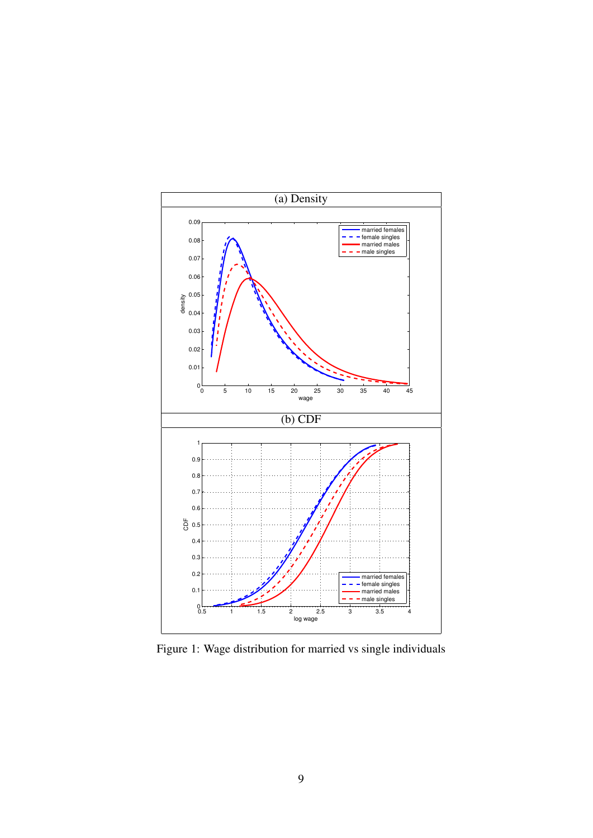

<span id="page-8-0"></span>Figure 1: Wage distribution for married vs single individuals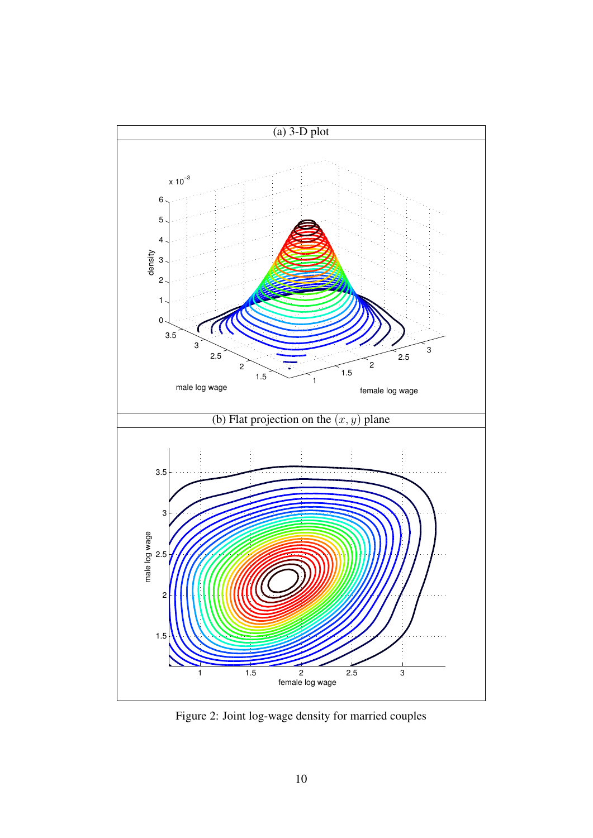

Figure 2: Joint log-wage density for married couples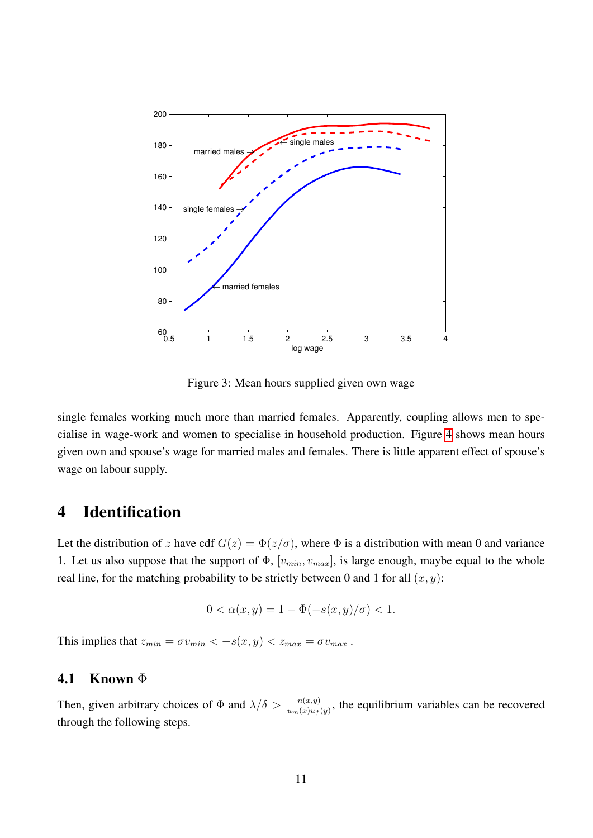

<span id="page-10-0"></span>Figure 3: Mean hours supplied given own wage

single females working much more than married females. Apparently, coupling allows men to specialise in wage-work and women to specialise in household production. Figure [4](#page-11-0) shows mean hours given own and spouse's wage for married males and females. There is little apparent effect of spouse's wage on labour supply.

## 4 Identification

Let the distribution of z have cdf  $G(z) = \Phi(z/\sigma)$ , where  $\Phi$  is a distribution with mean 0 and variance 1. Let us also suppose that the support of  $\Phi$ ,  $[v_{min}, v_{max}]$ , is large enough, maybe equal to the whole real line, for the matching probability to be strictly between 0 and 1 for all  $(x, y)$ :

$$
0 < \alpha(x, y) = 1 - \Phi(-s(x, y) / \sigma) < 1.
$$

This implies that  $z_{min} = \sigma v_{min} < -s(x, y) < z_{max} = \sigma v_{max}$ .

### 4.1 Known Φ

Then, given arbitrary choices of  $\Phi$  and  $\lambda/\delta > \frac{n(x,y)}{u_m(x)u_f(y)}$ , the equilibrium variables can be recovered through the following steps.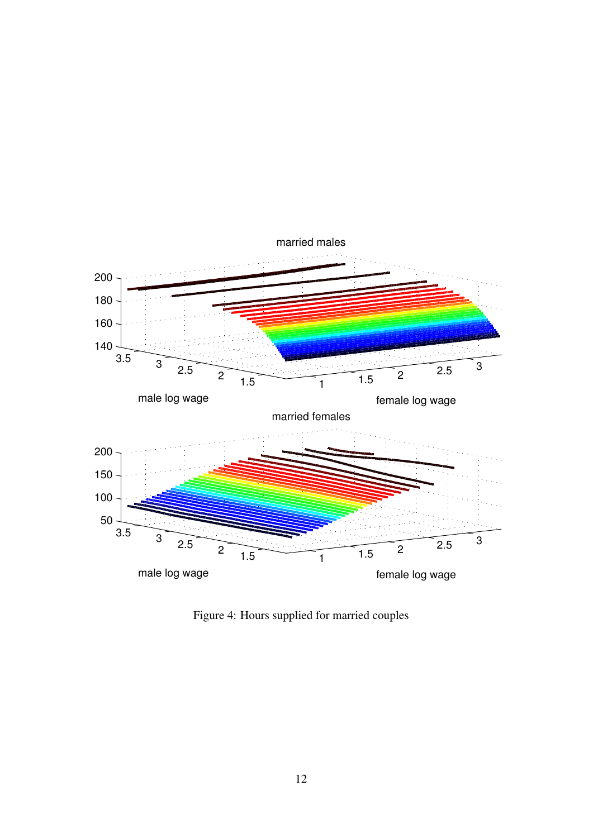

<span id="page-11-0"></span>Figure 4: Hours supplied for married couples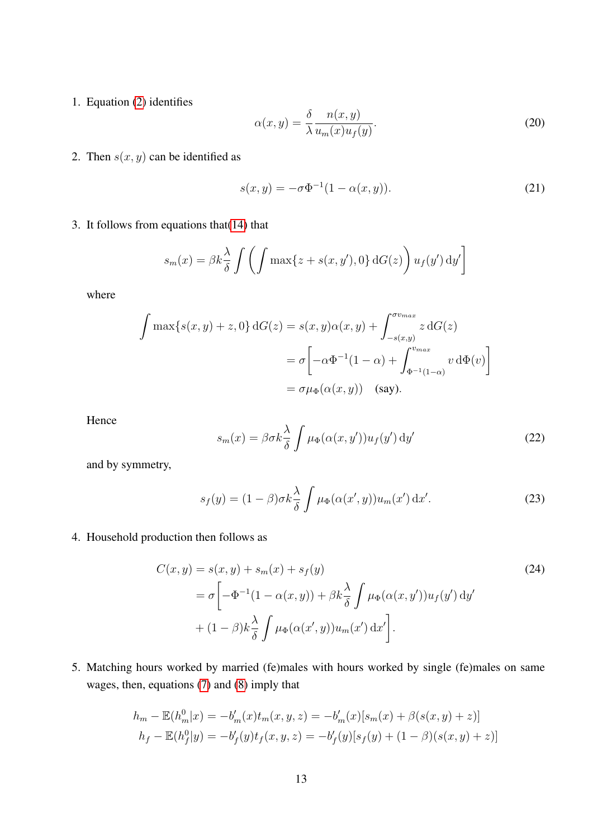1. Equation [\(2\)](#page-2-1) identifies

$$
\alpha(x,y) = \frac{\delta}{\lambda} \frac{n(x,y)}{u_m(x)u_f(y)}.
$$
\n(20)

2. Then  $s(x, y)$  can be identified as

<span id="page-12-0"></span>
$$
s(x, y) = -\sigma \Phi^{-1}(1 - \alpha(x, y)).
$$
\n(21)

3. It follows from equations that  $(14)$  that

$$
s_m(x) = \beta k \frac{\lambda}{\delta} \int \left( \int \max\{z + s(x, y'), 0\} dG(z) \right) u_f(y') dy'
$$

where

$$
\int \max\{s(x,y) + z, 0\} dG(z) = s(x,y)\alpha(x,y) + \int_{-s(x,y)}^{\sigma v_{max}} z dG(z)
$$

$$
= \sigma \left[ -\alpha \Phi^{-1} (1-\alpha) + \int_{\Phi^{-1} (1-\alpha)}^{v_{max}} v d\Phi(v) \right]
$$

$$
= \sigma \mu_{\Phi}(\alpha(x,y)) \quad \text{(say)}.
$$

Hence

<span id="page-12-2"></span><span id="page-12-1"></span>
$$
s_m(x) = \beta \sigma k \frac{\lambda}{\delta} \int \mu_{\Phi}(\alpha(x, y')) u_f(y') \, dy' \tag{22}
$$

and by symmetry,

<span id="page-12-3"></span>
$$
s_f(y) = (1 - \beta)\sigma k \frac{\lambda}{\delta} \int \mu_{\Phi}(\alpha(x', y)) u_m(x') dx'.
$$
 (23)

4. Household production then follows as

$$
C(x,y) = s(x,y) + s_m(x) + s_f(y)
$$
  
=  $\sigma \left[ -\Phi^{-1}(1 - \alpha(x,y)) + \beta k \frac{\lambda}{\delta} \int \mu_{\Phi}(\alpha(x,y')) u_f(y') dy' + (1 - \beta) k \frac{\lambda}{\delta} \int \mu_{\Phi}(\alpha(x',y)) u_m(x') dx' \right].$  (24)

5. Matching hours worked by married (fe)males with hours worked by single (fe)males on same wages, then, equations [\(7\)](#page-3-0) and [\(8\)](#page-3-1) imply that

$$
h_m - \mathbb{E}(h_m^0|x) = -b'_m(x)t_m(x, y, z) = -b'_m(x)[s_m(x) + \beta(s(x, y) + z)]
$$
  

$$
h_f - \mathbb{E}(h_f^0|y) = -b'_f(y)t_f(x, y, z) = -b'_f(y)[s_f(y) + (1 - \beta)(s(x, y) + z)]
$$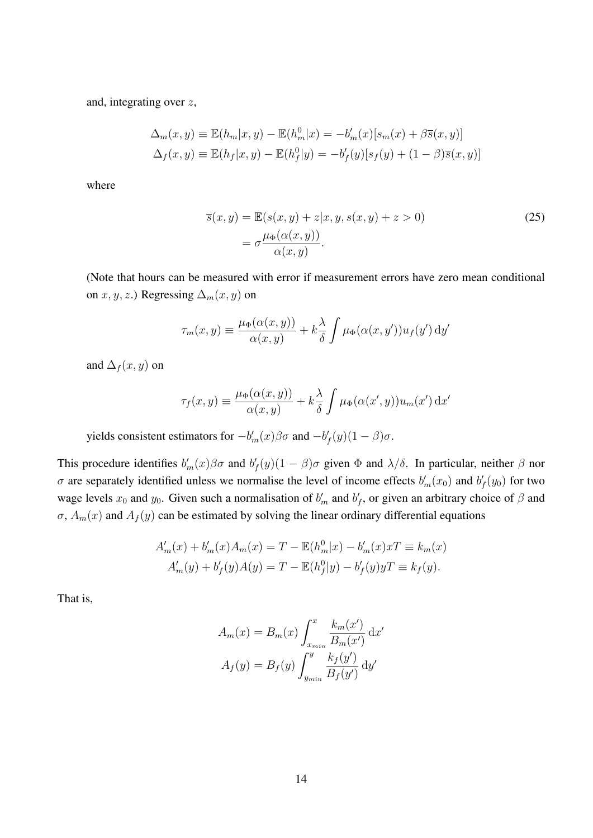and, integrating over z,

$$
\Delta_m(x, y) \equiv \mathbb{E}(h_m|x, y) - \mathbb{E}(h_m^0|x) = -b'_m(x)[s_m(x) + \beta \overline{s}(x, y)]
$$
  

$$
\Delta_f(x, y) \equiv \mathbb{E}(h_f|x, y) - \mathbb{E}(h_f^0|y) = -b'_f(y)[s_f(y) + (1 - \beta)\overline{s}(x, y)]
$$

where

<span id="page-13-0"></span>
$$
\overline{s}(x, y) = \mathbb{E}(s(x, y) + z | x, y, s(x, y) + z > 0)
$$
  
= 
$$
\sigma \frac{\mu_{\Phi}(\alpha(x, y))}{\alpha(x, y)}.
$$
 (25)

(Note that hours can be measured with error if measurement errors have zero mean conditional on  $x, y, z$ .) Regressing  $\Delta_m(x, y)$  on

$$
\tau_m(x,y) \equiv \frac{\mu_{\Phi}(\alpha(x,y))}{\alpha(x,y)} + k \frac{\lambda}{\delta} \int \mu_{\Phi}(\alpha(x,y')) u_f(y') \, dy'
$$

and  $\Delta_f (x, y)$  on

$$
\tau_f(x,y) \equiv \frac{\mu_{\Phi}(\alpha(x,y))}{\alpha(x,y)} + k \frac{\lambda}{\delta} \int \mu_{\Phi}(\alpha(x',y)) u_m(x') dx'
$$

yields consistent estimators for  $-b'_m(x)βσ$  and  $-b'_f(y)(1-β)σ$ .

This procedure identifies  $b'_m(x)\beta\sigma$  and  $b'_f(y)(1-\beta)\sigma$  given  $\Phi$  and  $\lambda/\delta$ . In particular, neither  $\beta$  nor  $\sigma$  are separately identified unless we normalise the level of income effects  $b'_m(x_0)$  and  $b'_f(y_0)$  for two wage levels  $x_0$  and  $y_0$ . Given such a normalisation of  $b'_m$  and  $b'_f$ , or given an arbitrary choice of  $\beta$  and  $\sigma$ ,  $A_m(x)$  and  $A_f(y)$  can be estimated by solving the linear ordinary differential equations

$$
A'_{m}(x) + b'_{m}(x)A_{m}(x) = T - \mathbb{E}(h_{m}^{0}|x) - b'_{m}(x)xT \equiv k_{m}(x)
$$
  

$$
A'_{m}(y) + b'_{f}(y)A(y) = T - \mathbb{E}(h_{f}^{0}|y) - b'_{f}(y)yT \equiv k_{f}(y).
$$

That is,

$$
A_m(x) = B_m(x) \int_{x_{min}}^x \frac{k_m(x')}{B_m(x')} dx'
$$

$$
A_f(y) = B_f(y) \int_{y_{min}}^{y} \frac{k_f(y')}{B_f(y')} dy'
$$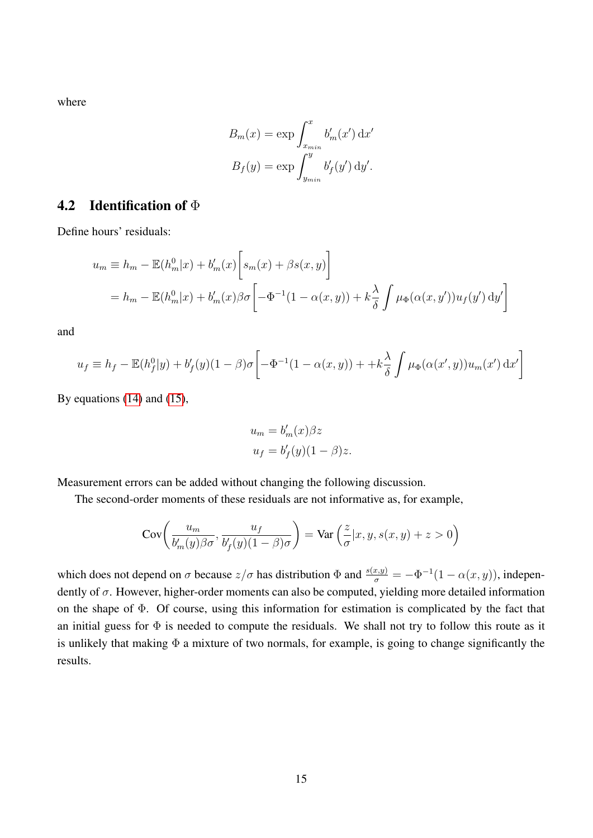where

$$
B_m(x) = \exp \int_{x_{min}}^x b'_m(x') dx'
$$

$$
B_f(y) = \exp \int_{y_{min}}^y b'_f(y') dy'.
$$

### 4.2 Identification of  $\Phi$

Define hours' residuals:

$$
u_m \equiv h_m - \mathbb{E}(h_m^0|x) + b'_m(x) \left[ s_m(x) + \beta s(x, y) \right]
$$
  
= 
$$
h_m - \mathbb{E}(h_m^0|x) + b'_m(x)\beta \sigma \left[ -\Phi^{-1}(1-\alpha(x, y)) + k\frac{\lambda}{\delta} \int \mu_{\Phi}(\alpha(x, y')) u_f(y') \, dy' \right]
$$

and

$$
u_f \equiv h_f - \mathbb{E}(h_f^0|y) + b_f'(y)(1-\beta)\sigma \left[ -\Phi^{-1}(1-\alpha(x,y)) + \kappa \frac{\lambda}{\delta} \int \mu_{\Phi}(\alpha(x',y))u_m(x') dx' \right]
$$

By equations [\(14\)](#page-5-2) and [\(15\)](#page-5-3),

$$
u_m = b'_m(x)\beta z
$$
  

$$
u_f = b'_f(y)(1 - \beta)z.
$$

Measurement errors can be added without changing the following discussion.

The second-order moments of these residuals are not informative as, for example,

$$
Cov\left(\frac{u_m}{b_m'(y)\beta\sigma}, \frac{u_f}{b_f'(y)(1-\beta)\sigma}\right) = Var\left(\frac{z}{\sigma}|x, y, s(x, y) + z > 0\right)
$$

which does not depend on  $\sigma$  because  $z/\sigma$  has distribution  $\Phi$  and  $\frac{s(x,y)}{\sigma} = -\Phi^{-1}(1-\alpha(x,y))$ , independently of  $\sigma$ . However, higher-order moments can also be computed, yielding more detailed information on the shape of Φ. Of course, using this information for estimation is complicated by the fact that an initial guess for  $\Phi$  is needed to compute the residuals. We shall not try to follow this route as it is unlikely that making  $\Phi$  a mixture of two normals, for example, is going to change significantly the results.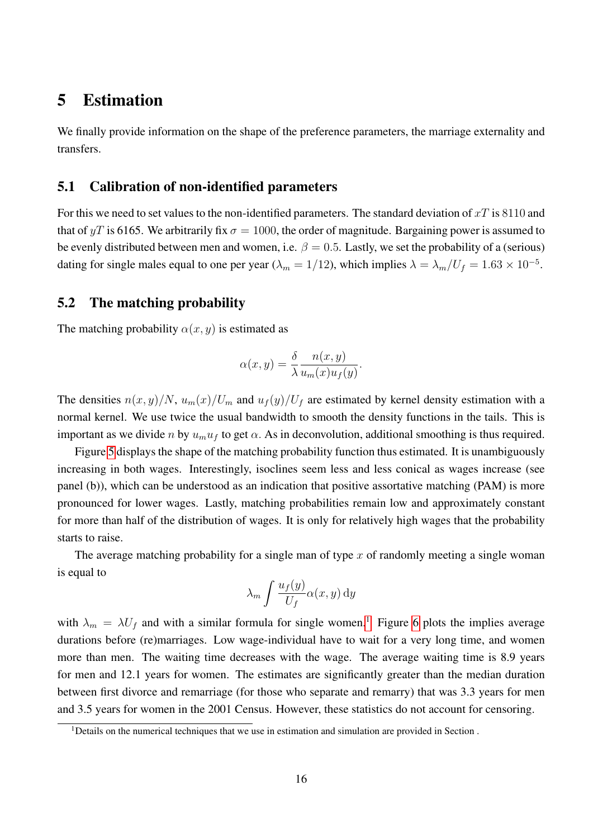## 5 Estimation

We finally provide information on the shape of the preference parameters, the marriage externality and transfers.

#### 5.1 Calibration of non-identified parameters

For this we need to set values to the non-identified parameters. The standard deviation of  $xT$  is 8110 and that of yT is 6165. We arbitrarily fix  $\sigma = 1000$ , the order of magnitude. Bargaining power is assumed to be evenly distributed between men and women, i.e.  $\beta = 0.5$ . Lastly, we set the probability of a (serious) dating for single males equal to one per year ( $\lambda_m = 1/12$ ), which implies  $\lambda = \lambda_m/U_f = 1.63 \times 10^{-5}$ .

### 5.2 The matching probability

The matching probability  $\alpha(x, y)$  is estimated as

$$
\alpha(x,y) = \frac{\delta}{\lambda} \frac{n(x,y)}{u_m(x)u_f(y)}.
$$

The densities  $n(x, y)/N$ ,  $u_m(x)/U_m$  and  $u_f(y)/U_f$  are estimated by kernel density estimation with a normal kernel. We use twice the usual bandwidth to smooth the density functions in the tails. This is important as we divide n by  $u_m u_f$  to get  $\alpha$ . As in deconvolution, additional smoothing is thus required.

Figure [5](#page-16-0) displays the shape of the matching probability function thus estimated. It is unambiguously increasing in both wages. Interestingly, isoclines seem less and less conical as wages increase (see panel (b)), which can be understood as an indication that positive assortative matching (PAM) is more pronounced for lower wages. Lastly, matching probabilities remain low and approximately constant for more than half of the distribution of wages. It is only for relatively high wages that the probability starts to raise.

The average matching probability for a single man of type  $x$  of randomly meeting a single woman is equal to

$$
\lambda_m \int \frac{u_f(y)}{U_f} \alpha(x, y) \, dy
$$

with  $\lambda_m = \lambda U_f$  and with a similar formula for single women.<sup>[1](#page-15-0)</sup> Figure [6](#page-17-0) plots the implies average durations before (re)marriages. Low wage-individual have to wait for a very long time, and women more than men. The waiting time decreases with the wage. The average waiting time is 8.9 years for men and 12.1 years for women. The estimates are significantly greater than the median duration between first divorce and remarriage (for those who separate and remarry) that was 3.3 years for men and 3.5 years for women in the 2001 Census. However, these statistics do not account for censoring.

<span id="page-15-0"></span> $1$ Details on the numerical techniques that we use in estimation and simulation are provided in Section.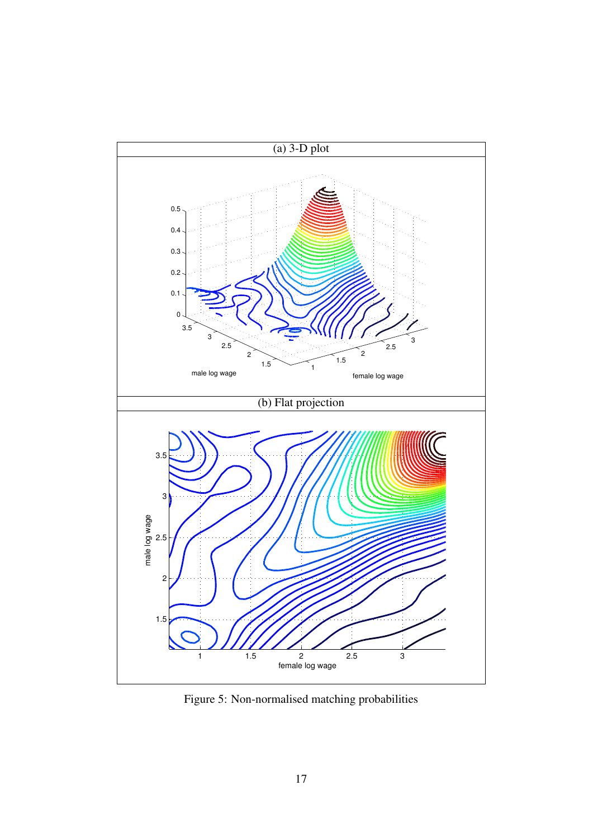

<span id="page-16-0"></span>Figure 5: Non-normalised matching probabilities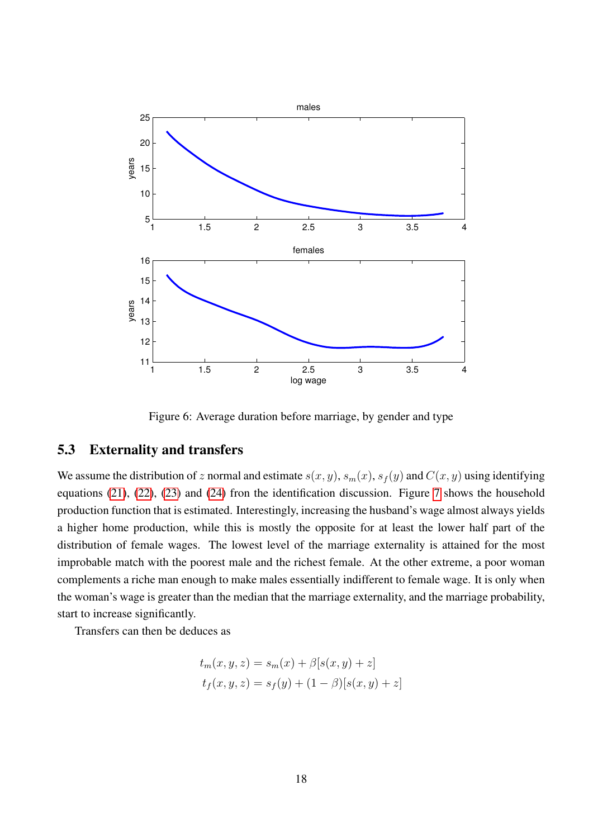

<span id="page-17-0"></span>Figure 6: Average duration before marriage, by gender and type

### 5.3 Externality and transfers

We assume the distribution of z normal and estimate  $s(x, y)$ ,  $s_m(x)$ ,  $s_f(y)$  and  $C(x, y)$  using identifying equations [\(21\)](#page-12-0), [\(22\)](#page-12-1), [\(23\)](#page-12-2) and [\(24\)](#page-12-3) fron the identification discussion. Figure [7](#page-19-0) shows the household production function that is estimated. Interestingly, increasing the husband's wage almost always yields a higher home production, while this is mostly the opposite for at least the lower half part of the distribution of female wages. The lowest level of the marriage externality is attained for the most improbable match with the poorest male and the richest female. At the other extreme, a poor woman complements a riche man enough to make males essentially indifferent to female wage. It is only when the woman's wage is greater than the median that the marriage externality, and the marriage probability, start to increase significantly.

Transfers can then be deduces as

$$
t_m(x, y, z) = s_m(x) + \beta[s(x, y) + z]
$$
  

$$
t_f(x, y, z) = s_f(y) + (1 - \beta)[s(x, y) + z]
$$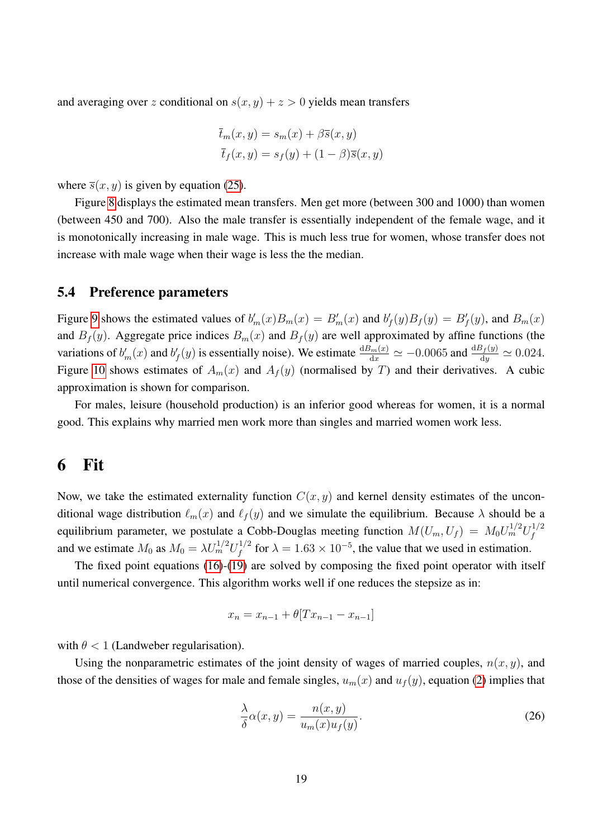and averaging over z conditional on  $s(x, y) + z > 0$  yields mean transfers

$$
\overline{t}_m(x, y) = s_m(x) + \beta \overline{s}(x, y)
$$

$$
\overline{t}_f(x, y) = s_f(y) + (1 - \beta)\overline{s}(x, y)
$$

where  $\overline{s}(x, y)$  is given by equation [\(25\)](#page-13-0).

Figure [8](#page-20-0) displays the estimated mean transfers. Men get more (between 300 and 1000) than women (between 450 and 700). Also the male transfer is essentially independent of the female wage, and it is monotonically increasing in male wage. This is much less true for women, whose transfer does not increase with male wage when their wage is less the the median.

#### 5.4 Preference parameters

Figure [9](#page-21-0) shows the estimated values of  $b'_m(x)B_m(x) = B'_m(x)$  and  $b'_f(y)B_f(y) = B'_f(y)$ , and  $B_m(x)$ and  $B_f(y)$ . Aggregate price indices  $B_m(x)$  and  $B_f(y)$  are well approximated by affine functions (the variations of  $b'_m(x)$  and  $b'_f(y)$  is essentially noise). We estimate  $\frac{dB_m(x)}{dx} \simeq -0.0065$  and  $\frac{dB_f(y)}{dy} \simeq 0.024$ . Figure [10](#page-22-0) shows estimates of  $A_m(x)$  and  $A_f(y)$  (normalised by T) and their derivatives. A cubic approximation is shown for comparison.

For males, leisure (household production) is an inferior good whereas for women, it is a normal good. This explains why married men work more than singles and married women work less.

## 6 Fit

Now, we take the estimated externality function  $C(x, y)$  and kernel density estimates of the unconditional wage distribution  $\ell_m(x)$  and  $\ell_f(y)$  and we simulate the equilibrium. Because  $\lambda$  should be a equilibrium parameter, we postulate a Cobb-Douglas meeting function  $M(U_m, U_f) = M_0 U_m^{1/2} U_f^{1/2}$ f and we estimate  $M_0$  as  $M_0 = \lambda U_m^{1/2} U_f^{1/2}$  $f_f^{1/2}$  for  $\lambda = 1.63 \times 10^{-5}$ , the value that we used in estimation.

The fixed point equations [\(16\)](#page-5-4)-[\(19\)](#page-5-1) are solved by composing the fixed point operator with itself until numerical convergence. This algorithm works well if one reduces the stepsize as in:

$$
x_n = x_{n-1} + \theta[Tx_{n-1} - x_{n-1}]
$$

with  $\theta$  < 1 (Landweber regularisation).

Using the nonparametric estimates of the joint density of wages of married couples,  $n(x, y)$ , and those of the densities of wages for male and female singles,  $u_m(x)$  and  $u_f(y)$ , equation [\(2\)](#page-2-1) implies that

$$
\frac{\lambda}{\delta} \alpha(x, y) = \frac{n(x, y)}{u_m(x) u_f(y)}.
$$
\n(26)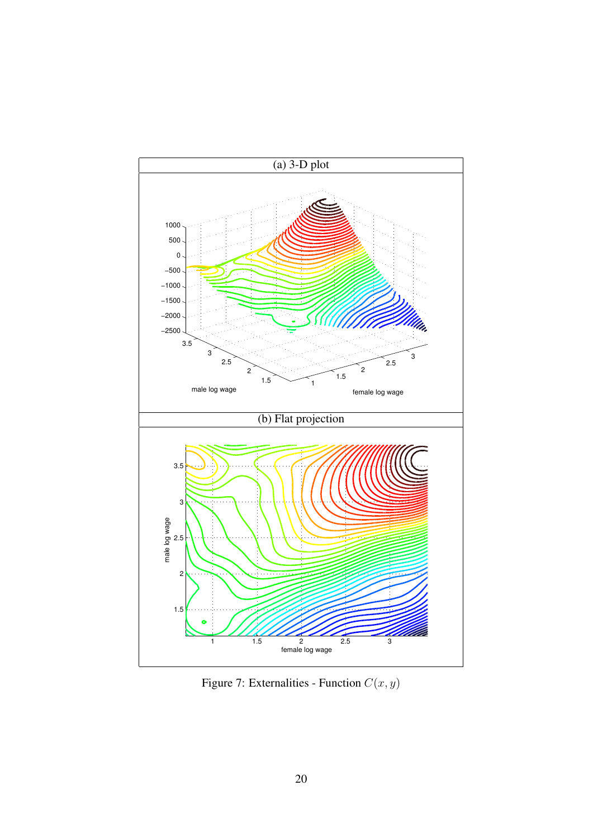

<span id="page-19-0"></span>Figure 7: Externalities - Function  $C(x, y)$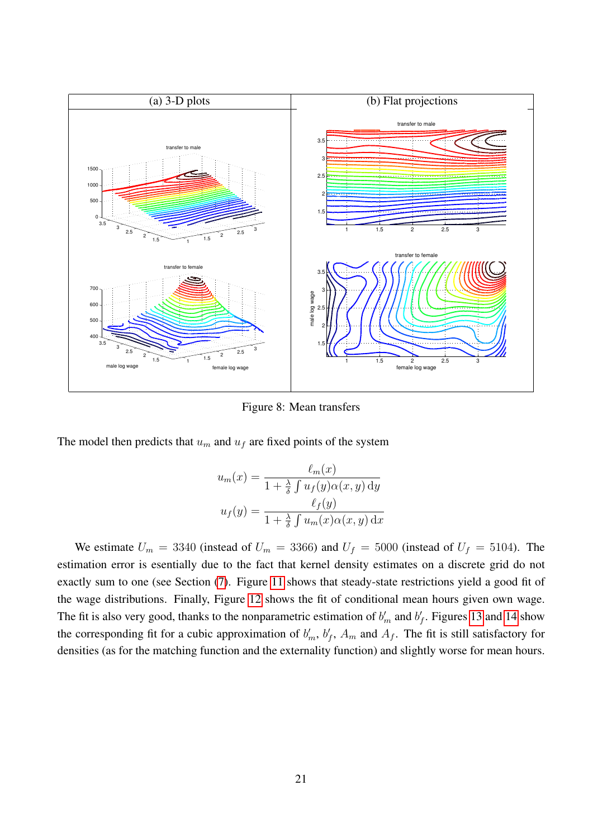

<span id="page-20-0"></span>Figure 8: Mean transfers

The model then predicts that  $u_m$  and  $u_f$  are fixed points of the system

$$
u_m(x) = \frac{\ell_m(x)}{1 + \frac{\lambda}{\delta} \int u_f(y) \alpha(x, y) \, dy}
$$

$$
u_f(y) = \frac{\ell_f(y)}{1 + \frac{\lambda}{\delta} \int u_m(x) \alpha(x, y) \, dx}
$$

We estimate  $U_m = 3340$  (instead of  $U_m = 3366$ ) and  $U_f = 5000$  (instead of  $U_f = 5104$ ). The estimation error is esentially due to the fact that kernel density estimates on a discrete grid do not exactly sum to one (see Section [\(7\)](#page-23-0). Figure [11](#page-23-1) shows that steady-state restrictions yield a good fit of the wage distributions. Finally, Figure [12](#page-24-0) shows the fit of conditional mean hours given own wage. The fit is also very good, thanks to the nonparametric estimation of  $b'_m$  and  $b'_f$ . Figures [13](#page-25-3) and [14](#page-26-0) show the corresponding fit for a cubic approximation of  $b'_m$ ,  $b'_f$ ,  $A_m$  and  $A_f$ . The fit is still satisfactory for densities (as for the matching function and the externality function) and slightly worse for mean hours.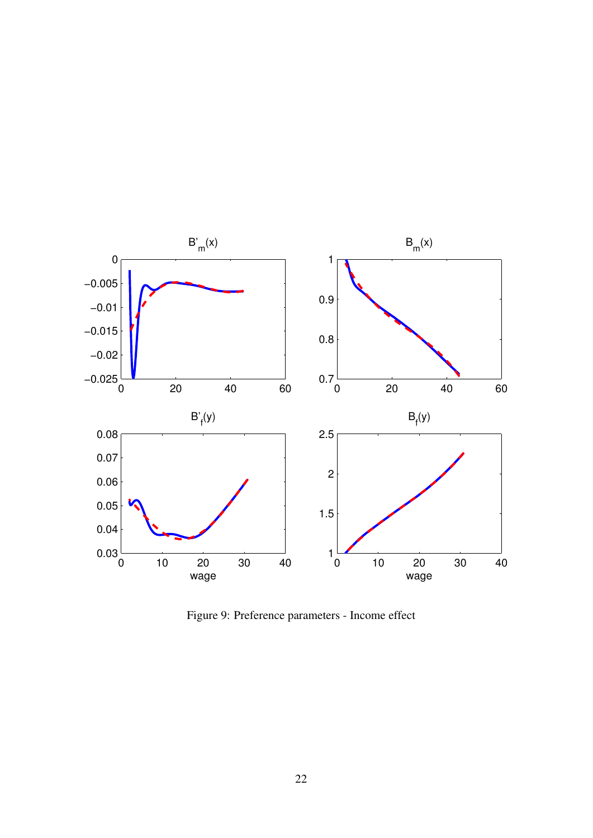

<span id="page-21-0"></span>Figure 9: Preference parameters - Income effect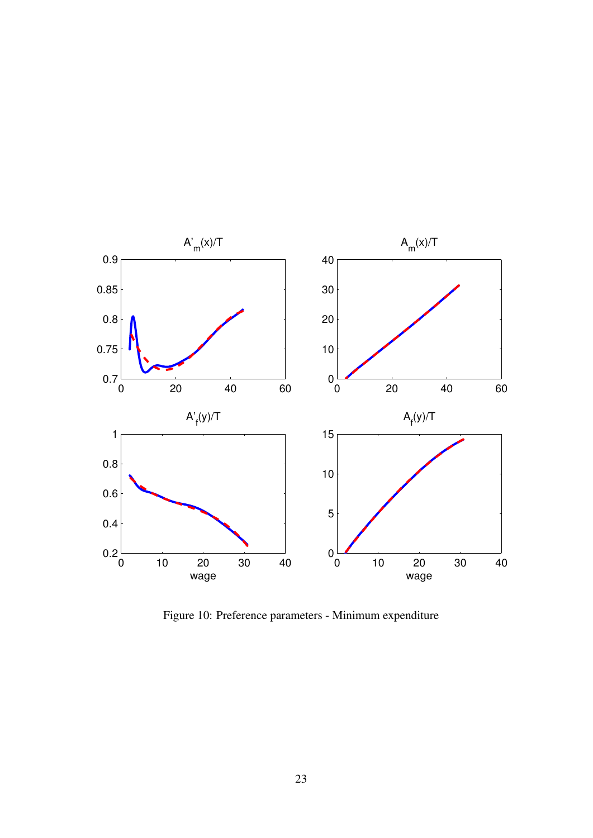

<span id="page-22-0"></span>Figure 10: Preference parameters - Minimum expenditure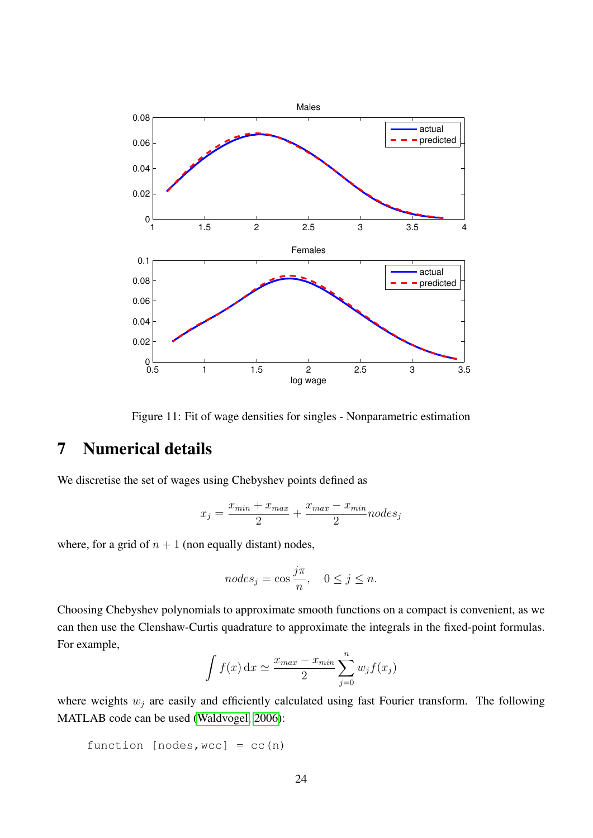

<span id="page-23-1"></span>Figure 11: Fit of wage densities for singles - Nonparametric estimation

## <span id="page-23-0"></span>7 Numerical details

We discretise the set of wages using Chebyshev points defined as

$$
x_j = \frac{x_{min} + x_{max}}{2} + \frac{x_{max} - x_{min}}{2} nodes_j
$$

where, for a grid of  $n + 1$  (non equally distant) nodes,

$$
nodes_j = \cos \frac{j\pi}{n}, \quad 0 \le j \le n.
$$

Choosing Chebyshev polynomials to approximate smooth functions on a compact is convenient, as we can then use the Clenshaw-Curtis quadrature to approximate the integrals in the fixed-point formulas. For example,

$$
\int f(x) dx \simeq \frac{x_{max} - x_{min}}{2} \sum_{j=0}^{n} w_j f(x_j)
$$

where weights  $w_j$  are easily and efficiently calculated using fast Fourier transform. The following MATLAB code can be used [\(Waldvogel, 2006\)](#page-27-3):

```
function [nodes, wcc] = cc(n)
```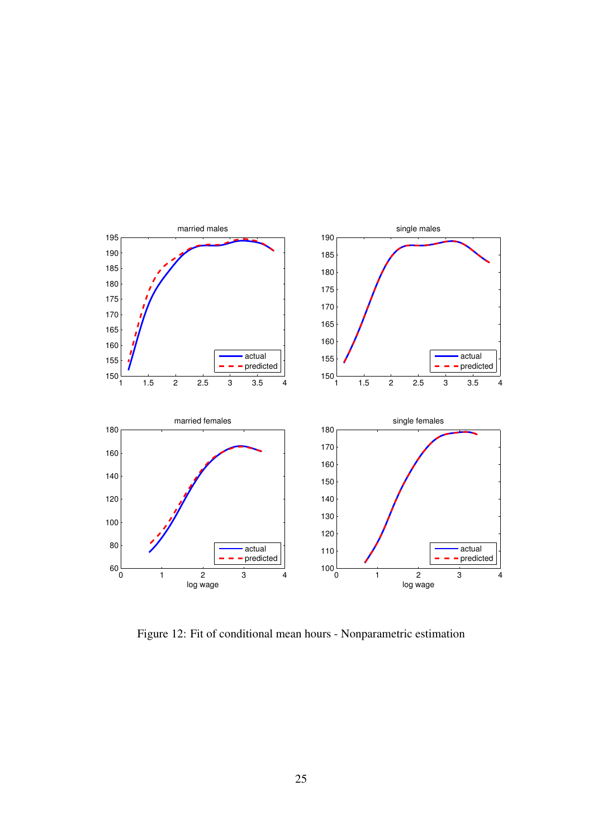

<span id="page-24-0"></span>Figure 12: Fit of conditional mean hours - Nonparametric estimation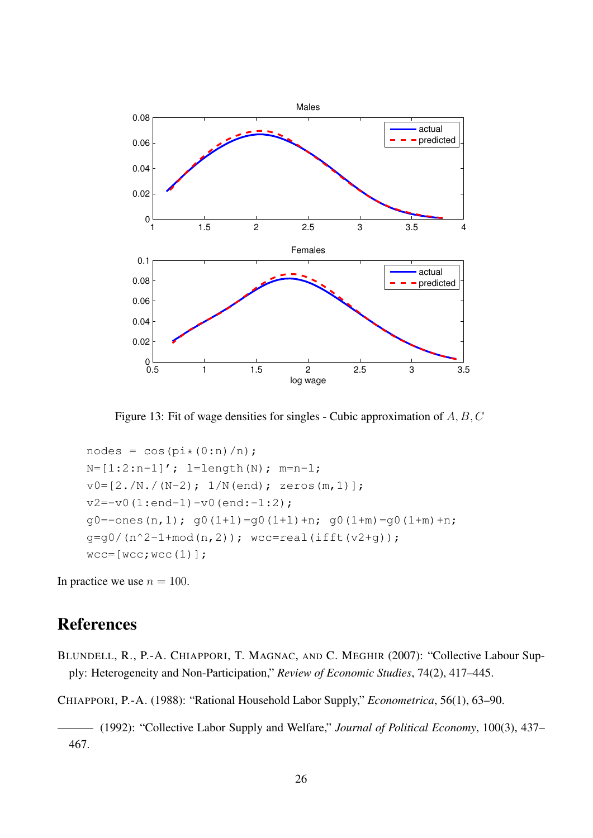

<span id="page-25-3"></span>Figure 13: Fit of wage densities for singles - Cubic approximation of A, B, C

```
nodes = cos(pi*(0:n)/n);N=[1:2:n-1]'; l=length(N); m=n-l;
v0=[2./N./(N-2); 1/N(end); zeros(m,1)];v2 = -v0(1:end-1) - v0(end:-1:2);q0 = -ones(n, 1); q0(1+1) = q0(1+1) + n; q0(1+m) = q0(1+m) + n;
g = g0/(n^2-1+mod(n,2)); wcc=real(ifft(v2+g));
wcc=[wcc;wcc(1)];
```
In practice we use  $n = 100$ .

## References

<span id="page-25-2"></span>BLUNDELL, R., P.-A. CHIAPPORI, T. MAGNAC, AND C. MEGHIR (2007): "Collective Labour Supply: Heterogeneity and Non-Participation," *Review of Economic Studies*, 74(2), 417–445.

<span id="page-25-0"></span>CHIAPPORI, P.-A. (1988): "Rational Household Labor Supply," *Econometrica*, 56(1), 63–90.

<span id="page-25-1"></span>(1992): "Collective Labor Supply and Welfare," *Journal of Political Economy*, 100(3), 437– 467.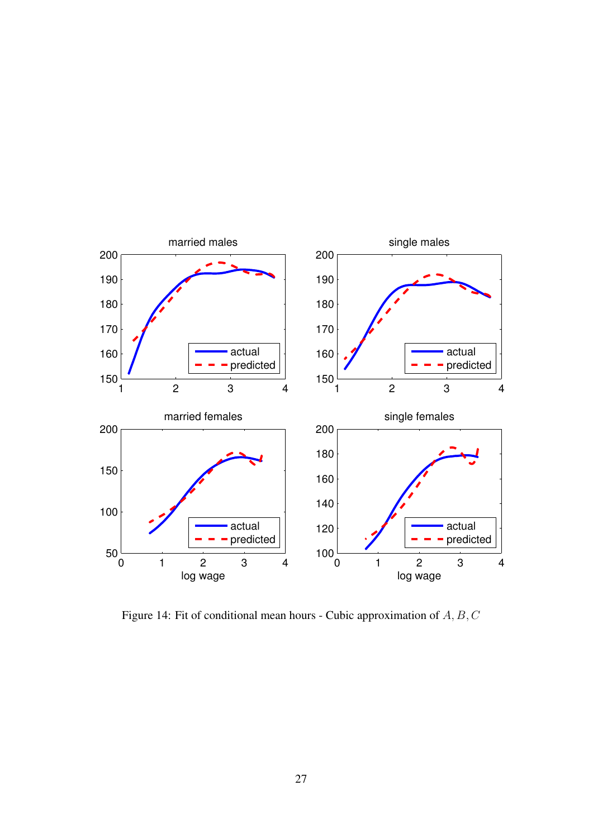

<span id="page-26-0"></span>Figure 14: Fit of conditional mean hours - Cubic approximation of A, B, C